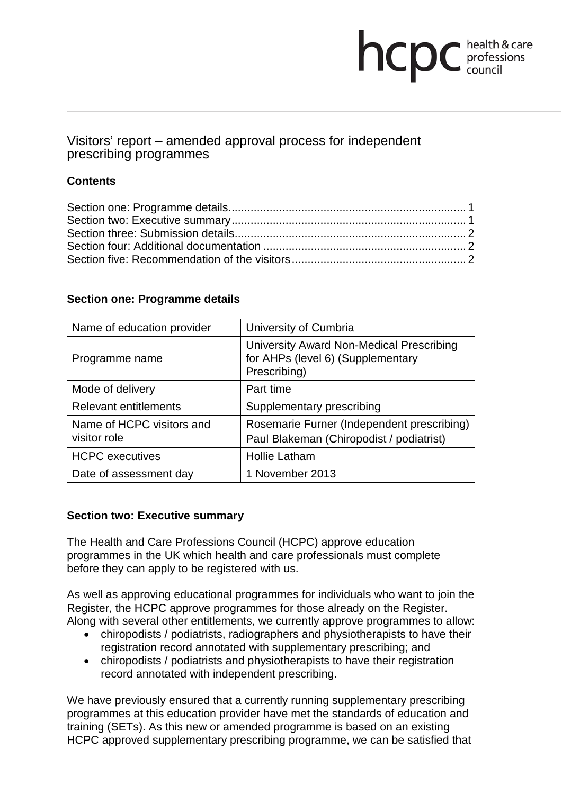# **health & care**

# Visitors' report – amended approval process for independent prescribing programmes

# **Contents**

### **Section one: Programme details**

| Name of education provider                | University of Cumbria                                                                         |
|-------------------------------------------|-----------------------------------------------------------------------------------------------|
| Programme name                            | University Award Non-Medical Prescribing<br>for AHPs (level 6) (Supplementary<br>Prescribing) |
| Mode of delivery                          | Part time                                                                                     |
| <b>Relevant entitlements</b>              | Supplementary prescribing                                                                     |
| Name of HCPC visitors and<br>visitor role | Rosemarie Furner (Independent prescribing)<br>Paul Blakeman (Chiropodist / podiatrist)        |
| <b>HCPC</b> executives                    | <b>Hollie Latham</b>                                                                          |
| Date of assessment day                    | 1 November 2013                                                                               |

## **Section two: Executive summary**

The Health and Care Professions Council (HCPC) approve education programmes in the UK which health and care professionals must complete before they can apply to be registered with us.

As well as approving educational programmes for individuals who want to join the Register, the HCPC approve programmes for those already on the Register. Along with several other entitlements, we currently approve programmes to allow:

- chiropodists / podiatrists, radiographers and physiotherapists to have their registration record annotated with supplementary prescribing; and
- chiropodists / podiatrists and physiotherapists to have their registration record annotated with independent prescribing.

We have previously ensured that a currently running supplementary prescribing programmes at this education provider have met the standards of education and training (SETs). As this new or amended programme is based on an existing HCPC approved supplementary prescribing programme, we can be satisfied that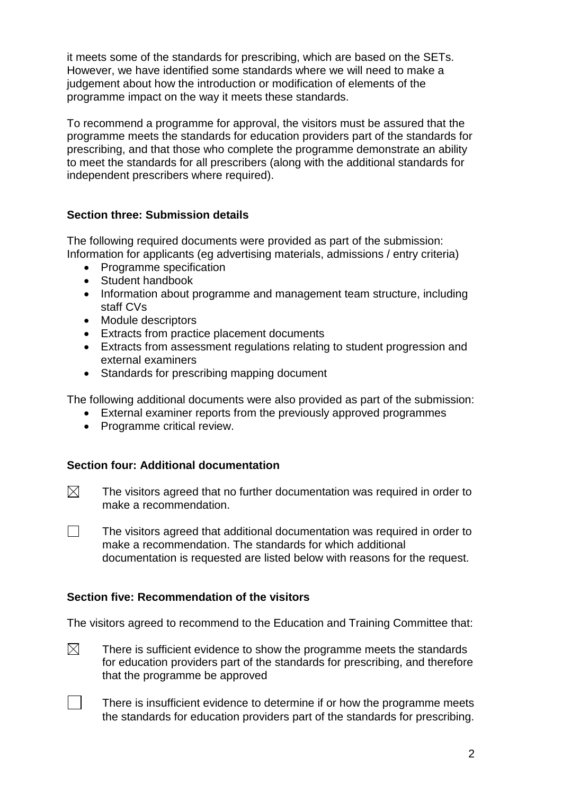it meets some of the standards for prescribing, which are based on the SETs. However, we have identified some standards where we will need to make a judgement about how the introduction or modification of elements of the programme impact on the way it meets these standards.

To recommend a programme for approval, the visitors must be assured that the programme meets the standards for education providers part of the standards for prescribing, and that those who complete the programme demonstrate an ability to meet the standards for all prescribers (along with the additional standards for independent prescribers where required).

### **Section three: Submission details**

The following required documents were provided as part of the submission: Information for applicants (eg advertising materials, admissions / entry criteria)

- Programme specification
- Student handbook
- Information about programme and management team structure, including staff CVs
- Module descriptors
- Extracts from practice placement documents
- Extracts from assessment regulations relating to student progression and external examiners
- Standards for prescribing mapping document

The following additional documents were also provided as part of the submission:

- External examiner reports from the previously approved programmes
- Programme critical review.

#### **Section four: Additional documentation**

- $\boxtimes$ The visitors agreed that no further documentation was required in order to make a recommendation.
- $\Box$ The visitors agreed that additional documentation was required in order to make a recommendation. The standards for which additional documentation is requested are listed below with reasons for the request.

#### **Section five: Recommendation of the visitors**

The visitors agreed to recommend to the Education and Training Committee that:

- $\boxtimes$ There is sufficient evidence to show the programme meets the standards for education providers part of the standards for prescribing, and therefore that the programme be approved
	- There is insufficient evidence to determine if or how the programme meets the standards for education providers part of the standards for prescribing.